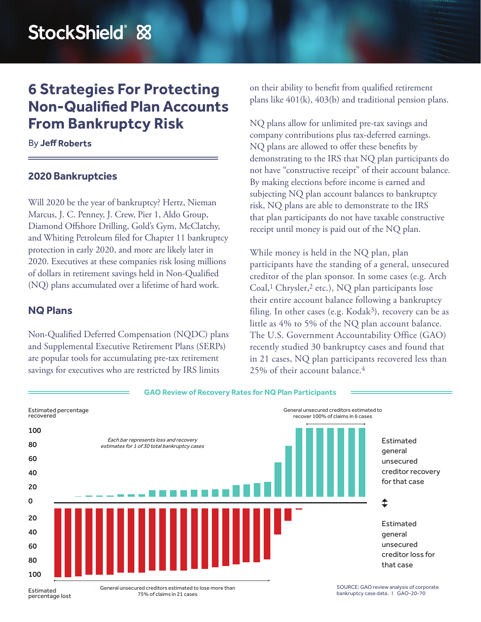# **6 Strategies For Protecting Non-Qualified Plan Accounts From Bankruptcy Risk**

#### By **Jeff Roberts**

#### **2020 Bankruptcies**

Will 2020 be the year of bankruptcy? Hertz, Nieman Marcus, J. C. Penney, J. Crew, Pier 1, Aldo Group, Diamond Offshore Drilling, Gold's Gym, McClatchy, and Whiting Petroleum filed for Chapter 11 bankruptcy protection in early 2020, and more are likely later in 2020. Executives at these companies risk losing millions of dollars in retirement savings held in Non-Qualified (NQ) plans accumulated over a lifetime of hard work.

### **NQ Plans**

Non-Qualified Deferred Compensation (NQDC) plans and Supplemental Executive Retirement Plans (SERPs) are popular tools for accumulating pre-tax retirement savings for executives who are restricted by IRS limits

on their ability to benefit from qualified retirement plans like 401(k), 403(b) and traditional pension plans.

NQ plans allow for unlimited pre-tax savings and company contributions plus tax-deferred earnings. NQ plans are allowed to offer these benefits by demonstrating to the IRS that NQ plan participants do not have "constructive receipt" of their account balance. By making elections before income is earned and subjecting NQ plan account balances to bankruptcy risk, NQ plans are able to demonstrate to the IRS that plan participants do not have taxable constructive receipt until money is paid out of the NQ plan.

While money is held in the NQ plan, plan participants have the standing of a general, unsecured creditor of the plan sponsor. In some cases (e.g. Arch Coal, 1 Chrysler, 2 etc.), NQ plan participants lose their entire account balance following a bankruptcy filing. In other cases (e.g. Kodak<sup>3</sup>), recovery can be as little as 4% to 5% of the NQ plan account balance. The U.S. Government Accountability Office (GAO) recently studied 30 bankruptcy cases and found that in 21 cases, NQ plan participants recovered less than 25% of their account balance. 4



Estimated percentage lost General unsecured creditors estimated to lose more than 75% of claims in 21 cases

SOURCE: GAO review analysis of corporate bankruptcy case data. I GAO-20-70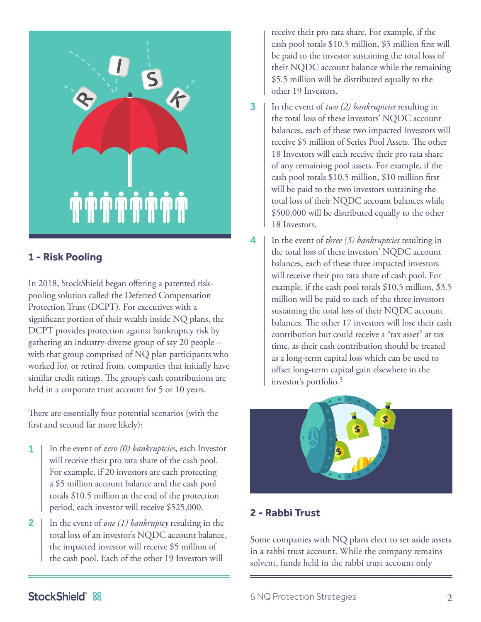

## **1 - Risk Pooling**

In 2018, StockShield began offering a patented riskpooling solution called the Deferred Compensation Protection Trust (DCPT). For executives with a significant portion of their wealth inside NQ plans, the DCPT provides protection against bankruptcy risk by gathering an industry-diverse group of say 20 people – with that group comprised of NQ plan participants who worked for, or retired from, companies that initially have similar credit ratings. The group's cash contributions are held in a corporate trust account for 5 or 10 years.

There are essentially four potential scenarios (with the first and second far more likely):

- In the event of *zero (0) bankruptcies*, each Investor will receive their pro rata share of the cash pool. For example, if 20 investors are each protecting a \$5 million account balance and the cash pool totals \$10.5 million at the end of the protection period, each investor will receive \$525,000. **1**
- In the event of *one (1) bankruptcy* resulting in the total loss of an investor's NQDC account balance, the impacted investor will receive \$5 million of the cash pool. Each of the other 19 Investors will **2**

receive their pro rata share. For example, if the cash pool totals \$10.5 million, \$5 million first will be paid to the investor sustaining the total loss of their NQDC account balance while the remaining \$5.5 million will be distributed equally to the other 19 Investors.

- In the event of *two (2) bankruptcies* resulting in the total loss of these investors' NQDC account balances, each of these two impacted Investors will receive \$5 million of Series Pool Assets. The other 18 Investors will each receive their pro rata share of any remaining pool assets. For example, if the cash pool totals \$10.5 million, \$10 million first will be paid to the two investors sustaining the total loss of their NQDC account balances while \$500,000 will be distributed equally to the other 18 Investors. **3**
- In the event of *three (3) bankruptcies* resulting in the total loss of these investors' NQDC account balances, each of these three impacted investors will receive their pro rata share of cash pool. For example, if the cash pool totals \$10.5 million, \$3.5 million will be paid to each of the three investors sustaining the total loss of their NQDC account balances. The other 17 investors will lose their cash contribution but could receive a "tax asset" at tax time, as their cash contribution should be treated as a long-term capital loss which can be used to offset long-term capital gain elsewhere in the investor's portfolio. 5 **4**



# **2 - Rabbi Trust**

Some companies with NQ plans elect to set aside assets in a rabbi trust account. While the company remains solvent, funds held in the rabbi trust account only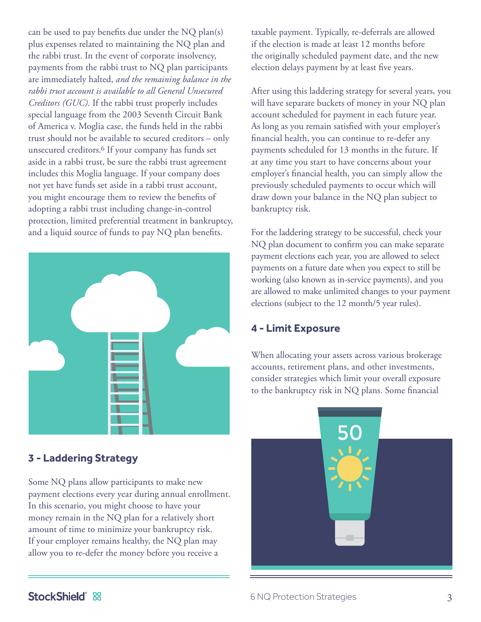can be used to pay benefits due under the NQ plan(s) plus expenses related to maintaining the NQ plan and the rabbi trust. In the event of corporate insolvency, payments from the rabbi trust to NQ plan participants are immediately halted, *and the remaining balance in the rabbi trust account is available to all General Unsecured Creditors (GUC)*. If the rabbi trust properly includes special language from the 2003 Seventh Circuit Bank of America v. Moglia case, the funds held in the rabbi trust should not be available to secured creditors – only unsecured creditors. 6 If your company has funds set aside in a rabbi trust, be sure the rabbi trust agreement includes this Moglia language. If your company does not yet have funds set aside in a rabbi trust account, you might encourage them to review the benefits of adopting a rabbi trust including change-in-control protection, limited preferential treatment in bankruptcy, and a liquid source of funds to pay NQ plan benefits.



## **3 - Laddering Strategy**

Some NQ plans allow participants to make new payment elections every year during annual enrollment. In this scenario, you might choose to have your money remain in the NQ plan for a relatively short amount of time to minimize your bankruptcy risk. If your employer remains healthy, the NQ plan may allow you to re-defer the money before you receive a

taxable payment. Typically, re-deferrals are allowed if the election is made at least 12 months before the originally scheduled payment date, and the new election delays payment by at least five years.

After using this laddering strategy for several years, you will have separate buckets of money in your NQ plan account scheduled for payment in each future year. As long as you remain satisfied with your employer's financial health, you can continue to re-defer any payments scheduled for 13 months in the future. If at any time you start to have concerns about your employer's financial health, you can simply allow the previously scheduled payments to occur which will draw down your balance in the NQ plan subject to bankruptcy risk.

For the laddering strategy to be successful, check your NQ plan document to confirm you can make separate payment elections each year, you are allowed to select payments on a future date when you expect to still be working (also known as in-service payments), and you are allowed to make unlimited changes to your payment elections (subject to the 12 month/5 year rules).

## **4 - Limit Exposure**

When allocating your assets across various brokerage accounts, retirement plans, and other investments, consider strategies which limit your overall exposure to the bankruptcy risk in NQ plans. Some financial



# StockShield &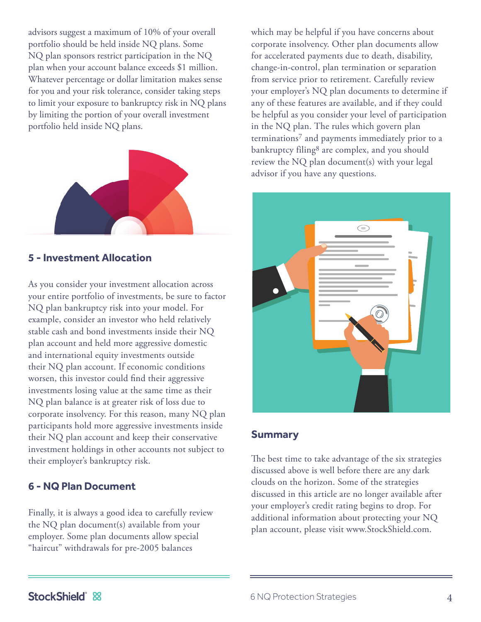advisors suggest a maximum of 10% of your overall portfolio should be held inside NQ plans. Some NQ plan sponsors restrict participation in the NQ plan when your account balance exceeds \$1 million. Whatever percentage or dollar limitation makes sense for you and your risk tolerance, consider taking steps to limit your exposure to bankruptcy risk in NQ plans by limiting the portion of your overall investment portfolio held inside NQ plans.



#### **5 - Investment Allocation**

As you consider your investment allocation across your entire portfolio of investments, be sure to factor NQ plan bankruptcy risk into your model. For example, consider an investor who held relatively stable cash and bond investments inside their NQ plan account and held more aggressive domestic and international equity investments outside their NQ plan account. If economic conditions worsen, this investor could find their aggressive investments losing value at the same time as their NQ plan balance is at greater risk of loss due to corporate insolvency. For this reason, many NQ plan participants hold more aggressive investments inside their NQ plan account and keep their conservative investment holdings in other accounts not subject to their employer's bankruptcy risk.

#### **6 - NQ Plan Document**

Finally, it is always a good idea to carefully review the NQ plan document(s) available from your employer. Some plan documents allow special "haircut" withdrawals for pre-2005 balances

which may be helpful if you have concerns about corporate insolvency. Other plan documents allow for accelerated payments due to death, disability, change-in-control, plan termination or separation from service prior to retirement. Carefully review your employer's NQ plan documents to determine if any of these features are available, and if they could be helpful as you consider your level of participation in the NQ plan. The rules which govern plan terminations<sup>7</sup> and payments immediately prior to a bankruptcy filing8 are complex, and you should review the NQ plan document(s) with your legal advisor if you have any questions.



#### **Summary**

The best time to take advantage of the six strategies discussed above is well before there are any dark clouds on the horizon. Some of the strategies discussed in this article are no longer available after your employer's credit rating begins to drop. For additional information about protecting your NQ plan account, please visit www.StockShield.com.